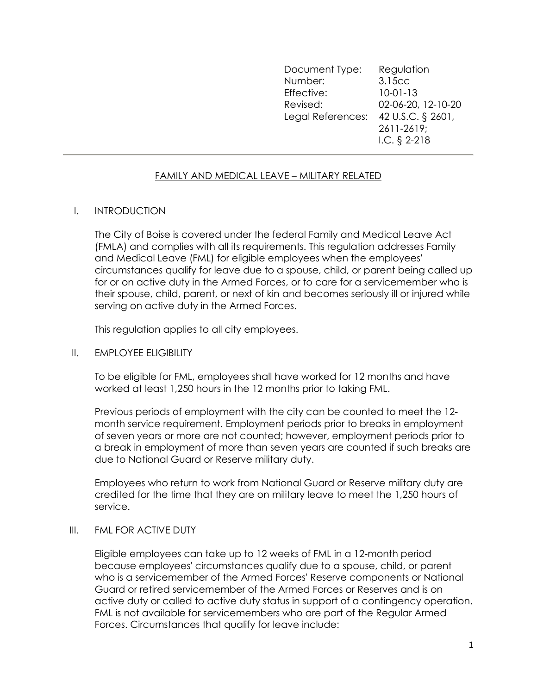| Document Type:                      | Regulation         |
|-------------------------------------|--------------------|
| Number:                             | 3.15cc             |
| Effective:                          | $10-01-13$         |
| Revised:                            | 02-06-20, 12-10-20 |
| Legal References: 42 U.S.C. § 2601, |                    |
|                                     | 2611-2619;         |
|                                     | I.C. $\S$ 2-218    |
|                                     |                    |

#### FAMILY AND MEDICAL LEAVE – MILITARY RELATED

#### I. INTRODUCTION

The City of Boise is covered under the federal Family and Medical Leave Act (FMLA) and complies with all its requirements. This regulation addresses Family and Medical Leave (FML) for eligible employees when the employees' circumstances qualify for leave due to a spouse, child, or parent being called up for or on active duty in the Armed Forces, or to care for a servicemember who is their spouse, child, parent, or next of kin and becomes seriously ill or injured while serving on active duty in the Armed Forces.

This regulation applies to all city employees.

#### II. EMPLOYEE ELIGIBILITY

To be eligible for FML, employees shall have worked for 12 months and have worked at least 1,250 hours in the 12 months prior to taking FML.

Previous periods of employment with the city can be counted to meet the 12 month service requirement. Employment periods prior to breaks in employment of seven years or more are not counted; however, employment periods prior to a break in employment of more than seven years are counted if such breaks are due to National Guard or Reserve military duty.

Employees who return to work from National Guard or Reserve military duty are credited for the time that they are on military leave to meet the 1,250 hours of service.

#### III. FML FOR ACTIVE DUTY

Eligible employees can take up to 12 weeks of FML in a 12-month period because employees' circumstances qualify due to a spouse, child, or parent who is a servicemember of the Armed Forces' Reserve components or National Guard or retired servicemember of the Armed Forces or Reserves and is on active duty or called to active duty status in support of a contingency operation. FML is not available for servicemembers who are part of the Regular Armed Forces. Circumstances that qualify for leave include: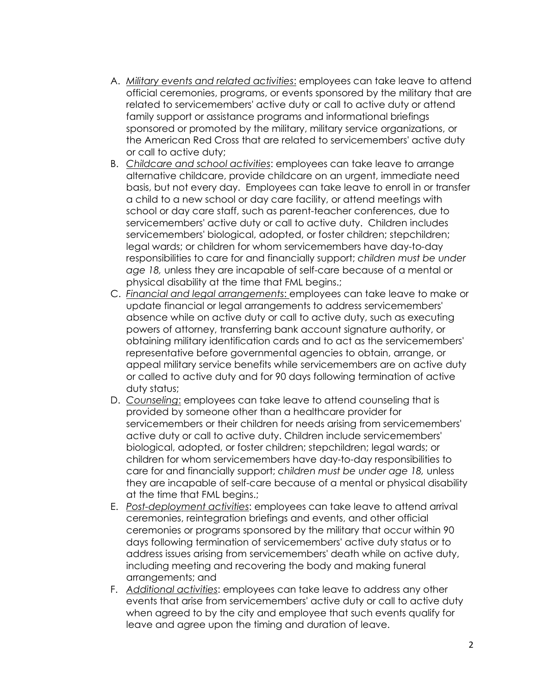- A. Military events and related activities: employees can take leave to attend official ceremonies, programs, or events sponsored by the military that are related to servicemembers' active duty or call to active duty or attend family support or assistance programs and informational briefings sponsored or promoted by the military, military service organizations, or the American Red Cross that are related to servicemembers' active duty or call to active duty;
- B. Childcare and school activities: employees can take leave to arrange alternative childcare, provide childcare on an urgent, immediate need basis, but not every day. Employees can take leave to enroll in or transfer a child to a new school or day care facility, or attend meetings with school or day care staff, such as parent-teacher conferences, due to servicemembers' active duty or call to active duty. Children includes servicemembers' biological, adopted, or foster children; stepchildren; legal wards; or children for whom servicemembers have day-to-day responsibilities to care for and financially support; children must be under age 18, unless they are incapable of self-care because of a mental or physical disability at the time that FML begins.;
- C. Financial and legal arrangements: employees can take leave to make or update financial or legal arrangements to address servicemembers' absence while on active duty or call to active duty, such as executing powers of attorney, transferring bank account signature authority, or obtaining military identification cards and to act as the servicemembers' representative before governmental agencies to obtain, arrange, or appeal military service benefits while servicemembers are on active duty or called to active duty and for 90 days following termination of active duty status;
- D. Counseling: employees can take leave to attend counseling that is provided by someone other than a healthcare provider for servicemembers or their children for needs arising from servicemembers' active duty or call to active duty. Children include servicemembers' biological, adopted, or foster children; stepchildren; legal wards; or children for whom servicemembers have day-to-day responsibilities to care for and financially support; children must be under age 18, unless they are incapable of self-care because of a mental or physical disability at the time that FML begins.;
- E. Post-deployment activities: employees can take leave to attend arrival ceremonies, reintegration briefings and events, and other official ceremonies or programs sponsored by the military that occur within 90 days following termination of servicemembers' active duty status or to address issues arising from servicemembers' death while on active duty, including meeting and recovering the body and making funeral arrangements; and
- F. Additional activities: employees can take leave to address any other events that arise from servicemembers' active duty or call to active duty when agreed to by the city and employee that such events qualify for leave and agree upon the timing and duration of leave.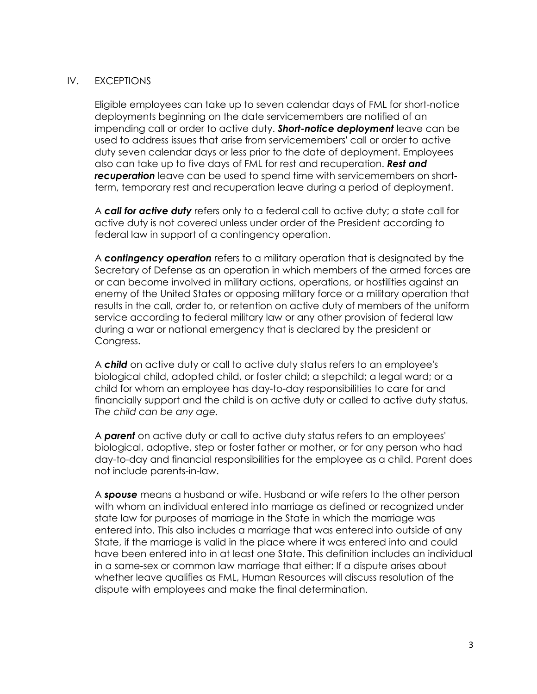## IV. EXCEPTIONS

Eligible employees can take up to seven calendar days of FML for short-notice deployments beginning on the date servicemembers are notified of an impending call or order to active duty. **Short-notice deployment** leave can be used to address issues that arise from servicemembers' call or order to active duty seven calendar days or less prior to the date of deployment. Employees also can take up to five days of FML for rest and recuperation. **Rest and recuperation** leave can be used to spend time with servicemembers on shortterm, temporary rest and recuperation leave during a period of deployment.

A call for active duty refers only to a federal call to active duty; a state call for active duty is not covered unless under order of the President according to federal law in support of a contingency operation.

A **contingency operation** refers to a military operation that is designated by the Secretary of Defense as an operation in which members of the armed forces are or can become involved in military actions, operations, or hostilities against an enemy of the United States or opposing military force or a military operation that results in the call, order to, or retention on active duty of members of the uniform service according to federal military law or any other provision of federal law during a war or national emergency that is declared by the president or Congress.

A **child** on active duty or call to active duty status refers to an employee's biological child, adopted child, or foster child; a stepchild; a legal ward; or a child for whom an employee has day-to-day responsibilities to care for and financially support and the child is on active duty or called to active duty status. The child can be any age.

A **parent** on active duty or call to active duty status refers to an employees' biological, adoptive, step or foster father or mother, or for any person who had day-to-day and financial responsibilities for the employee as a child. Parent does not include parents-in-law.

A spouse means a husband or wife. Husband or wife refers to the other person with whom an individual entered into marriage as defined or recognized under state law for purposes of marriage in the State in which the marriage was entered into. This also includes a marriage that was entered into outside of any State, if the marriage is valid in the place where it was entered into and could have been entered into in at least one State. This definition includes an individual in a same-sex or common law marriage that either: If a dispute arises about whether leave qualifies as FML, Human Resources will discuss resolution of the dispute with employees and make the final determination.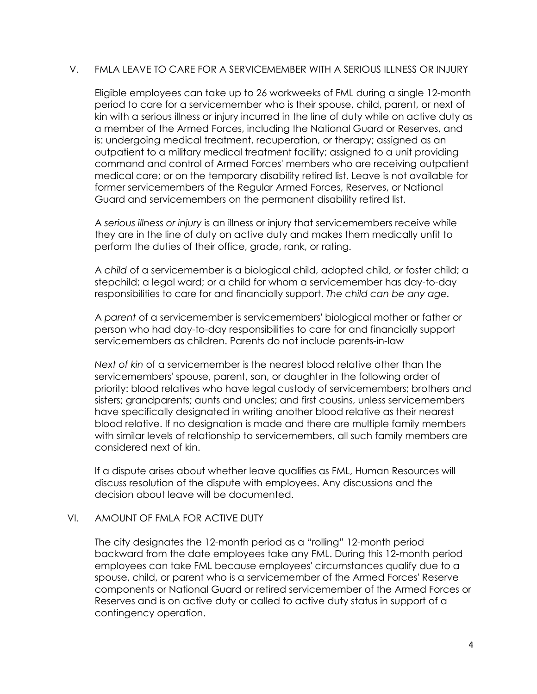### V. FMLA LEAVE TO CARE FOR A SERVICEMEMBER WITH A SERIOUS ILLNESS OR INJURY

Eligible employees can take up to 26 workweeks of FML during a single 12-month period to care for a servicemember who is their spouse, child, parent, or next of kin with a serious illness or injury incurred in the line of duty while on active duty as a member of the Armed Forces, including the National Guard or Reserves, and is: undergoing medical treatment, recuperation, or therapy; assigned as an outpatient to a military medical treatment facility; assigned to a unit providing command and control of Armed Forces' members who are receiving outpatient medical care; or on the temporary disability retired list. Leave is not available for former servicemembers of the Regular Armed Forces, Reserves, or National Guard and servicemembers on the permanent disability retired list.

A serious illness or injury is an illness or injury that servicemembers receive while they are in the line of duty on active duty and makes them medically unfit to perform the duties of their office, grade, rank, or rating.

A child of a servicemember is a biological child, adopted child, or foster child; a stepchild; a legal ward; or a child for whom a servicemember has day-to-day responsibilities to care for and financially support. The child can be any age.

A parent of a servicemember is servicemembers' biological mother or father or person who had day-to-day responsibilities to care for and financially support servicemembers as children. Parents do not include parents-in-law

Next of kin of a servicemember is the nearest blood relative other than the servicemembers' spouse, parent, son, or daughter in the following order of priority: blood relatives who have legal custody of servicemembers; brothers and sisters; grandparents; aunts and uncles; and first cousins, unless servicemembers have specifically designated in writing another blood relative as their nearest blood relative. If no designation is made and there are multiple family members with similar levels of relationship to servicemembers, all such family members are considered next of kin.

If a dispute arises about whether leave qualifies as FML, Human Resources will discuss resolution of the dispute with employees. Any discussions and the decision about leave will be documented.

## VI. AMOUNT OF FMLA FOR ACTIVE DUTY

The city designates the 12-month period as a "rolling" 12-month period backward from the date employees take any FML. During this 12-month period employees can take FML because employees' circumstances qualify due to a spouse, child, or parent who is a servicemember of the Armed Forces' Reserve components or National Guard or retired servicemember of the Armed Forces or Reserves and is on active duty or called to active duty status in support of a contingency operation.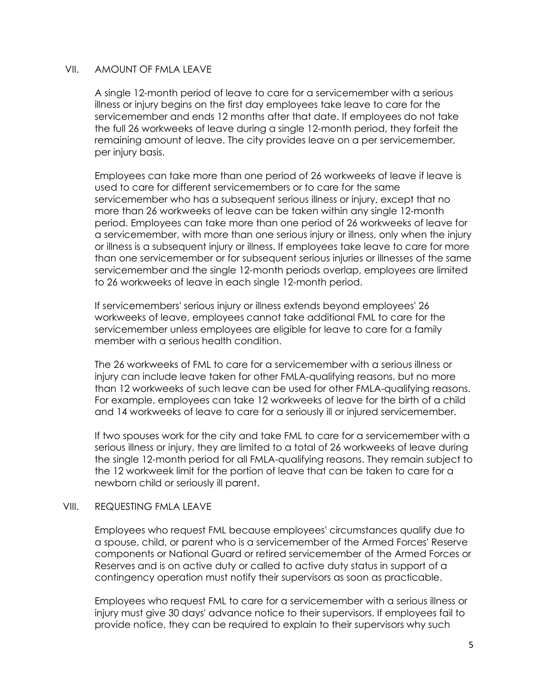### VII. AMOUNT OF FMLA LEAVE

A single 12-month period of leave to care for a servicemember with a serious illness or injury begins on the first day employees take leave to care for the servicemember and ends 12 months after that date. If employees do not take the full 26 workweeks of leave during a single 12-month period, they forfeit the remaining amount of leave. The city provides leave on a per servicemember, per injury basis.

Employees can take more than one period of 26 workweeks of leave if leave is used to care for different servicemembers or to care for the same servicemember who has a subsequent serious illness or injury, except that no more than 26 workweeks of leave can be taken within any single 12-month period. Employees can take more than one period of 26 workweeks of leave for a servicemember, with more than one serious injury or illness, only when the injury or illness is a subsequent injury or illness. If employees take leave to care for more than one servicemember or for subsequent serious injuries or illnesses of the same servicemember and the single 12-month periods overlap, employees are limited to 26 workweeks of leave in each single 12-month period.

If servicemembers' serious injury or illness extends beyond employees' 26 workweeks of leave, employees cannot take additional FML to care for the servicemember unless employees are eligible for leave to care for a family member with a serious health condition.

The 26 workweeks of FML to care for a servicemember with a serious illness or injury can include leave taken for other FMLA-qualifying reasons, but no more than 12 workweeks of such leave can be used for other FMLA-qualifying reasons. For example, employees can take 12 workweeks of leave for the birth of a child and 14 workweeks of leave to care for a seriously ill or injured servicemember.

If two spouses work for the city and take FML to care for a servicemember with a serious illness or injury, they are limited to a total of 26 workweeks of leave during the single 12-month period for all FMLA-qualifying reasons. They remain subject to the 12 workweek limit for the portion of leave that can be taken to care for a newborn child or seriously ill parent.

## VIII. REQUESTING FMLA LEAVE

Employees who request FML because employees' circumstances qualify due to a spouse, child, or parent who is a servicemember of the Armed Forces' Reserve components or National Guard or retired servicemember of the Armed Forces or Reserves and is on active duty or called to active duty status in support of a contingency operation must notify their supervisors as soon as practicable.

Employees who request FML to care for a servicemember with a serious illness or injury must give 30 days' advance notice to their supervisors. If employees fail to provide notice, they can be required to explain to their supervisors why such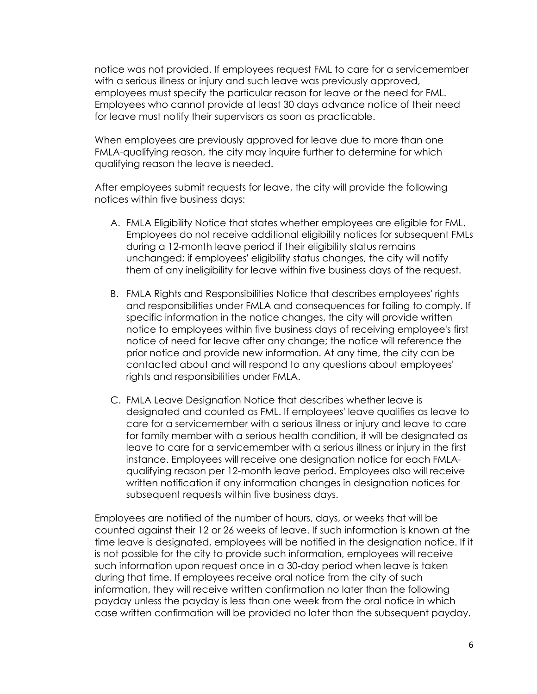notice was not provided. If employees request FML to care for a servicemember with a serious illness or injury and such leave was previously approved, employees must specify the particular reason for leave or the need for FML. Employees who cannot provide at least 30 days advance notice of their need for leave must notify their supervisors as soon as practicable.

When employees are previously approved for leave due to more than one FMLA-qualifying reason, the city may inquire further to determine for which qualifying reason the leave is needed.

After employees submit requests for leave, the city will provide the following notices within five business days:

- A. FMLA Eligibility Notice that states whether employees are eligible for FML. Employees do not receive additional eligibility notices for subsequent FMLs during a 12-month leave period if their eligibility status remains unchanged; if employees' eligibility status changes, the city will notify them of any ineligibility for leave within five business days of the request.
- B. FMLA Rights and Responsibilities Notice that describes employees' rights and responsibilities under FMLA and consequences for failing to comply. If specific information in the notice changes, the city will provide written notice to employees within five business days of receiving employee's first notice of need for leave after any change; the notice will reference the prior notice and provide new information. At any time, the city can be contacted about and will respond to any questions about employees' rights and responsibilities under FMLA.
- C. FMLA Leave Designation Notice that describes whether leave is designated and counted as FML. If employees' leave qualifies as leave to care for a servicemember with a serious illness or injury and leave to care for family member with a serious health condition, it will be designated as leave to care for a servicemember with a serious illness or injury in the first instance. Employees will receive one designation notice for each FMLAqualifying reason per 12-month leave period. Employees also will receive written notification if any information changes in designation notices for subsequent requests within five business days.

Employees are notified of the number of hours, days, or weeks that will be counted against their 12 or 26 weeks of leave. If such information is known at the time leave is designated, employees will be notified in the designation notice. If it is not possible for the city to provide such information, employees will receive such information upon request once in a 30-day period when leave is taken during that time. If employees receive oral notice from the city of such information, they will receive written confirmation no later than the following payday unless the payday is less than one week from the oral notice in which case written confirmation will be provided no later than the subsequent payday.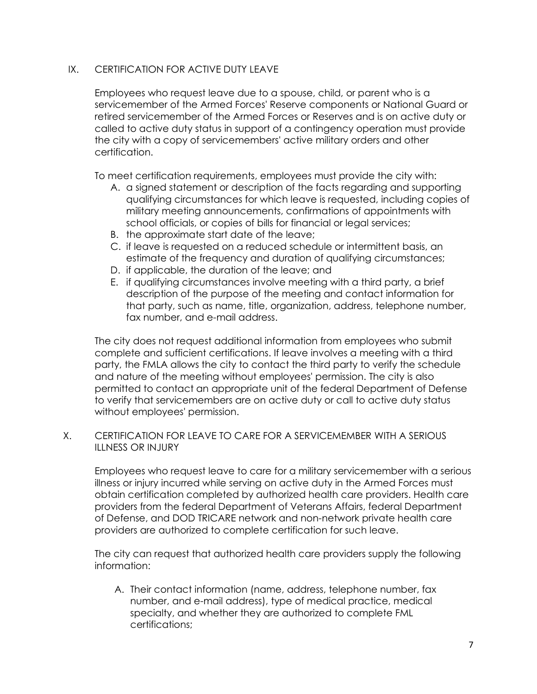# IX. CERTIFICATION FOR ACTIVE DUTY LEAVE

Employees who request leave due to a spouse, child, or parent who is a servicemember of the Armed Forces' Reserve components or National Guard or retired servicemember of the Armed Forces or Reserves and is on active duty or called to active duty status in support of a contingency operation must provide the city with a copy of servicemembers' active military orders and other certification.

To meet certification requirements, employees must provide the city with:

- A. a signed statement or description of the facts regarding and supporting qualifying circumstances for which leave is requested, including copies of military meeting announcements, confirmations of appointments with school officials, or copies of bills for financial or legal services;
- B. the approximate start date of the leave;
- C. if leave is requested on a reduced schedule or intermittent basis, an estimate of the frequency and duration of qualifying circumstances;
- D. if applicable, the duration of the leave; and
- E. if qualifying circumstances involve meeting with a third party, a brief description of the purpose of the meeting and contact information for that party, such as name, title, organization, address, telephone number, fax number, and e-mail address.

The city does not request additional information from employees who submit complete and sufficient certifications. If leave involves a meeting with a third party, the FMLA allows the city to contact the third party to verify the schedule and nature of the meeting without employees' permission. The city is also permitted to contact an appropriate unit of the federal Department of Defense to verify that servicemembers are on active duty or call to active duty status without employees' permission.

# X. CERTIFICATION FOR LEAVE TO CARE FOR A SERVICEMEMBER WITH A SERIOUS ILLNESS OR INJURY

Employees who request leave to care for a military servicemember with a serious illness or injury incurred while serving on active duty in the Armed Forces must obtain certification completed by authorized health care providers. Health care providers from the federal Department of Veterans Affairs, federal Department of Defense, and DOD TRICARE network and non-network private health care providers are authorized to complete certification for such leave.

The city can request that authorized health care providers supply the following information:

A. Their contact information (name, address, telephone number, fax number, and e-mail address), type of medical practice, medical specialty, and whether they are authorized to complete FML certifications;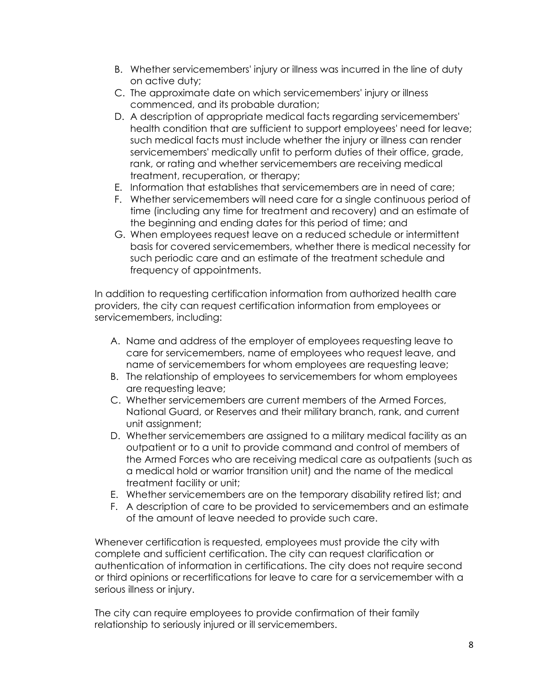- B. Whether servicemembers' injury or illness was incurred in the line of duty on active duty;
- C. The approximate date on which servicemembers' injury or illness commenced, and its probable duration;
- D. A description of appropriate medical facts regarding servicemembers' health condition that are sufficient to support employees' need for leave; such medical facts must include whether the injury or illness can render servicemembers' medically unfit to perform duties of their office, grade, rank, or rating and whether servicemembers are receiving medical treatment, recuperation, or therapy;
- E. Information that establishes that servicemembers are in need of care;
- F. Whether servicemembers will need care for a single continuous period of time (including any time for treatment and recovery) and an estimate of the beginning and ending dates for this period of time; and
- G. When employees request leave on a reduced schedule or intermittent basis for covered servicemembers, whether there is medical necessity for such periodic care and an estimate of the treatment schedule and frequency of appointments.

In addition to requesting certification information from authorized health care providers, the city can request certification information from employees or servicemembers, including:

- A. Name and address of the employer of employees requesting leave to care for servicemembers, name of employees who request leave, and name of servicemembers for whom employees are requesting leave;
- B. The relationship of employees to servicemembers for whom employees are requesting leave;
- C. Whether servicemembers are current members of the Armed Forces, National Guard, or Reserves and their military branch, rank, and current unit assignment;
- D. Whether servicemembers are assigned to a military medical facility as an outpatient or to a unit to provide command and control of members of the Armed Forces who are receiving medical care as outpatients (such as a medical hold or warrior transition unit) and the name of the medical treatment facility or unit;
- E. Whether servicemembers are on the temporary disability retired list; and
- F. A description of care to be provided to servicemembers and an estimate of the amount of leave needed to provide such care.

Whenever certification is requested, employees must provide the city with complete and sufficient certification. The city can request clarification or authentication of information in certifications. The city does not require second or third opinions or recertifications for leave to care for a servicemember with a serious illness or injury.

The city can require employees to provide confirmation of their family relationship to seriously injured or ill servicemembers.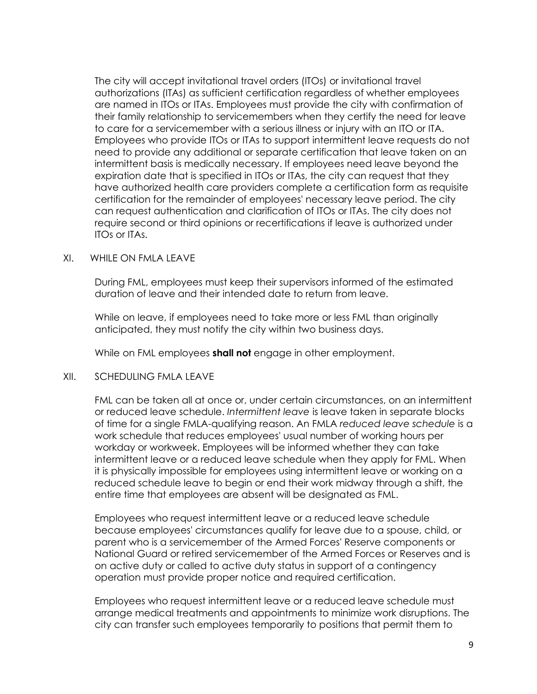The city will accept invitational travel orders (ITOs) or invitational travel authorizations (ITAs) as sufficient certification regardless of whether employees are named in ITOs or ITAs. Employees must provide the city with confirmation of their family relationship to servicemembers when they certify the need for leave to care for a servicemember with a serious illness or injury with an ITO or ITA. Employees who provide ITOs or ITAs to support intermittent leave requests do not need to provide any additional or separate certification that leave taken on an intermittent basis is medically necessary. If employees need leave beyond the expiration date that is specified in ITOs or ITAs, the city can request that they have authorized health care providers complete a certification form as requisite certification for the remainder of employees' necessary leave period. The city can request authentication and clarification of ITOs or ITAs. The city does not require second or third opinions or recertifications if leave is authorized under ITOs or ITAs.

### XI. WHILE ON FMLA LEAVE

During FML, employees must keep their supervisors informed of the estimated duration of leave and their intended date to return from leave.

While on leave, if employees need to take more or less FML than originally anticipated, they must notify the city within two business days.

While on FML employees shall not engage in other employment.

## XII. SCHEDULING FMLA LEAVE

FML can be taken all at once or, under certain circumstances, on an intermittent or reduced leave schedule. Intermittent leave is leave taken in separate blocks of time for a single FMLA-qualifying reason. An FMLA reduced leave schedule is a work schedule that reduces employees' usual number of working hours per workday or workweek. Employees will be informed whether they can take intermittent leave or a reduced leave schedule when they apply for FML. When it is physically impossible for employees using intermittent leave or working on a reduced schedule leave to begin or end their work midway through a shift, the entire time that employees are absent will be designated as FML.

Employees who request intermittent leave or a reduced leave schedule because employees' circumstances qualify for leave due to a spouse, child, or parent who is a servicemember of the Armed Forces' Reserve components or National Guard or retired servicemember of the Armed Forces or Reserves and is on active duty or called to active duty status in support of a contingency operation must provide proper notice and required certification.

Employees who request intermittent leave or a reduced leave schedule must arrange medical treatments and appointments to minimize work disruptions. The city can transfer such employees temporarily to positions that permit them to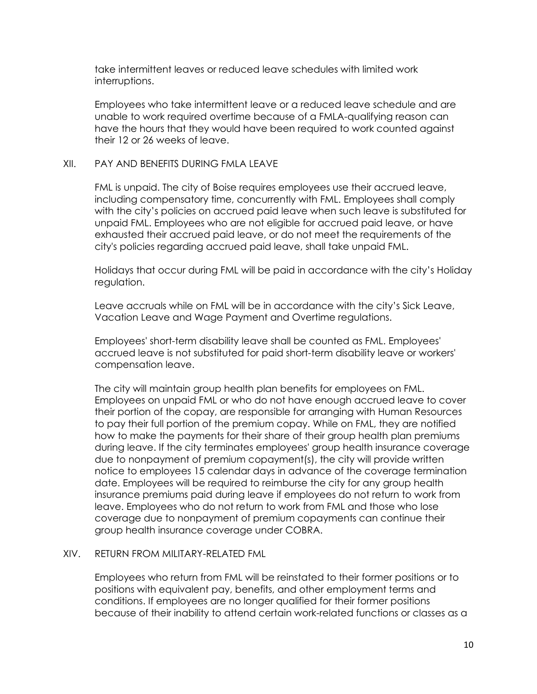take intermittent leaves or reduced leave schedules with limited work interruptions.

Employees who take intermittent leave or a reduced leave schedule and are unable to work required overtime because of a FMLA-qualifying reason can have the hours that they would have been required to work counted against their 12 or 26 weeks of leave.

## XII. PAY AND BENEFITS DURING FMLA LEAVE

FML is unpaid. The city of Boise requires employees use their accrued leave, including compensatory time, concurrently with FML. Employees shall comply with the city's policies on accrued paid leave when such leave is substituted for unpaid FML. Employees who are not eligible for accrued paid leave, or have exhausted their accrued paid leave, or do not meet the requirements of the city's policies regarding accrued paid leave, shall take unpaid FML.

Holidays that occur during FML will be paid in accordance with the city's Holiday regulation.

Leave accruals while on FML will be in accordance with the city's Sick Leave, Vacation Leave and Wage Payment and Overtime regulations.

Employees' short-term disability leave shall be counted as FML. Employees' accrued leave is not substituted for paid short-term disability leave or workers' compensation leave.

The city will maintain group health plan benefits for employees on FML. Employees on unpaid FML or who do not have enough accrued leave to cover their portion of the copay, are responsible for arranging with Human Resources to pay their full portion of the premium copay. While on FML, they are notified how to make the payments for their share of their group health plan premiums during leave. If the city terminates employees' group health insurance coverage due to nonpayment of premium copayment(s), the city will provide written notice to employees 15 calendar days in advance of the coverage termination date. Employees will be required to reimburse the city for any group health insurance premiums paid during leave if employees do not return to work from leave. Employees who do not return to work from FML and those who lose coverage due to nonpayment of premium copayments can continue their group health insurance coverage under COBRA.

#### XIV. RETURN FROM MILITARY-RELATED FML

Employees who return from FML will be reinstated to their former positions or to positions with equivalent pay, benefits, and other employment terms and conditions. If employees are no longer qualified for their former positions because of their inability to attend certain work-related functions or classes as a